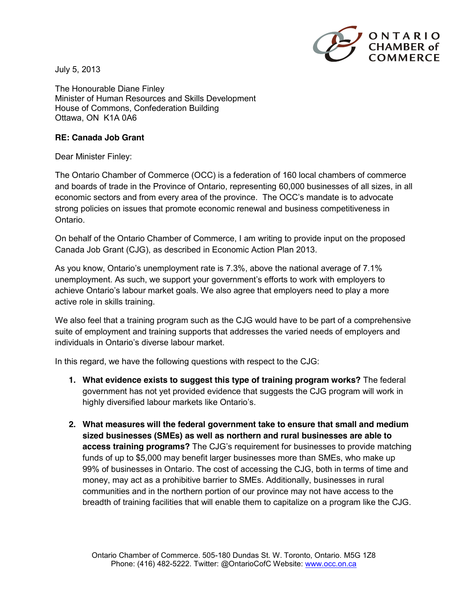

July 5, 2013

The Honourable Diane Finley Minister of Human Resources and Skills Development House of Commons, Confederation Building Ottawa, ON K1A 0A6

## **RE: Canada Job Grant**

Dear Minister Finley:

The Ontario Chamber of Commerce (OCC) is a federation of 160 local chambers of commerce and boards of trade in the Province of Ontario, representing 60,000 businesses of all sizes, in all economic sectors and from every area of the province. The OCC's mandate is to advocate strong policies on issues that promote economic renewal and business competitiveness in Ontario.

On behalf of the Ontario Chamber of Commerce, I am writing to provide input on the proposed Canada Job Grant (CJG), as described in Economic Action Plan 2013.

As you know, Ontario's unemployment rate is 7.3%, above the national average of 7.1% unemployment. As such, we support your government's efforts to work with employers to achieve Ontario's labour market goals. We also agree that employers need to play a more active role in skills training.

We also feel that a training program such as the CJG would have to be part of a comprehensive suite of employment and training supports that addresses the varied needs of employers and individuals in Ontario's diverse labour market.

In this regard, we have the following questions with respect to the CJG:

- **1. What evidence exists to suggest this type of training program works?** The federal government has not yet provided evidence that suggests the CJG program will work in highly diversified labour markets like Ontario's.
- **2. What measures will the federal government take to ensure that small and medium sized businesses (SMEs) as well as northern and rural businesses are able to access training programs?** The CJG's requirement for businesses to provide matching funds of up to \$5,000 may benefit larger businesses more than SMEs, who make up 99% of businesses in Ontario. The cost of accessing the CJG, both in terms of time and money, may act as a prohibitive barrier to SMEs. Additionally, businesses in rural communities and in the northern portion of our province may not have access to the breadth of training facilities that will enable them to capitalize on a program like the CJG.